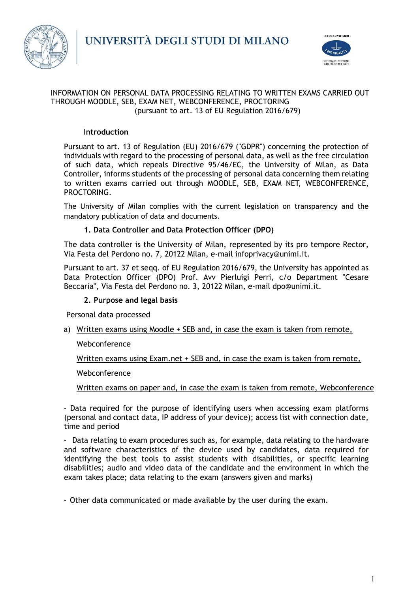



#### INFORMATION ON PERSONAL DATA PROCESSING RELATING TO WRITTEN EXAMS CARRIED OUT THROUGH MOODLE, SEB, EXAM NET, WEBCONFERENCE, PROCTORING (pursuant to art. 13 of EU Regulation 2016/679)

# **Introduction**

Pursuant to art. 13 of Regulation (EU) 2016/679 ("GDPR") concerning the protection of individuals with regard to the processing of personal data, as well as the free circulation of such data, which repeals Directive 95/46/EC, the University of Milan, as Data Controller, informs students of the processing of personal data concerning them relating to written exams carried out through MOODLE, SEB, EXAM NET, WEBCONFERENCE, PROCTORING.

The University of Milan complies with the current legislation on transparency and the mandatory publication of data and documents.

# **1. Data Controller and Data Protection Officer (DPO)**

The data controller is the University of Milan, represented by its pro tempore Rector, Via Festa del Perdono no. 7, 20122 Milan, e-mail infoprivacy@unimi.it.

Pursuant to art. 37 et seqq. of EU Regulation 2016/679, the University has appointed as Data Protection Officer (DPO) Prof. Avv Pierluigi Perri, c/o Department "Cesare Beccaria", Via Festa del Perdono no. 3, 20122 Milan, e-mail dpo@unimi.it.

#### **2. Purpose and legal basis**

Personal data processed

a) Written exams using Moodle + SEB and, in case the exam is taken from remote,

# **Webconference**

Written exams using Exam.net + SEB and, in case the exam is taken from remote,

#### Webconference

Written exams on paper and, in case the exam is taken from remote, Webconference

- Data required for the purpose of identifying users when accessing exam platforms (personal and contact data, IP address of your device); access list with connection date, time and period

- Data relating to exam procedures such as, for example, data relating to the hardware and software characteristics of the device used by candidates, data required for identifying the best tools to assist students with disabilities, or specific learning disabilities; audio and video data of the candidate and the environment in which the exam takes place; data relating to the exam (answers given and marks)

- Other data communicated or made available by the user during the exam.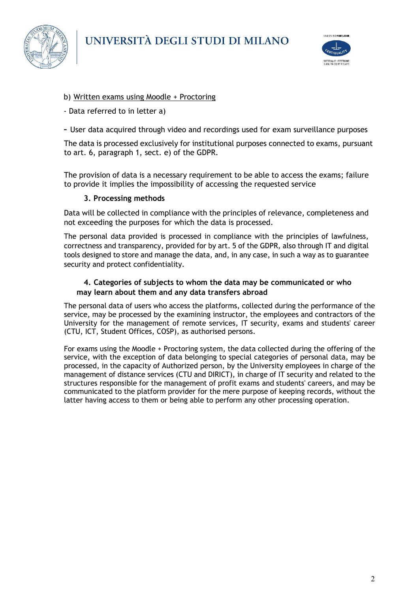



# b) Written exams using Moodle + Proctoring

- Data referred to in letter a)
- User data acquired through video and recordings used for exam surveillance purposes

The data is processed exclusively for institutional purposes connected to exams, pursuant to art. 6, paragraph 1, sect. e) of the GDPR.

The provision of data is a necessary requirement to be able to access the exams; failure to provide it implies the impossibility of accessing the requested service

#### **3. Processing methods**

Data will be collected in compliance with the principles of relevance, completeness and not exceeding the purposes for which the data is processed.

The personal data provided is processed in compliance with the principles of lawfulness, correctness and transparency, provided for by art. 5 of the GDPR, also through IT and digital tools designed to store and manage the data, and, in any case, in such a way as to guarantee security and protect confidentiality.

### **4. Categories of subjects to whom the data may be communicated or who may learn about them and any data transfers abroad**

The personal data of users who access the platforms, collected during the performance of the service, may be processed by the examining instructor, the employees and contractors of the University for the management of remote services, IT security, exams and students' career (CTU, ICT, Student Offices, COSP), as authorised persons.

For exams using the Moodle + Proctoring system, the data collected during the offering of the service, with the exception of data belonging to special categories of personal data, may be processed, in the capacity of Authorized person, by the University employees in charge of the management of distance services (CTU and DIRICT), in charge of IT security and related to the structures responsible for the management of profit exams and students' careers, and may be communicated to the platform provider for the mere purpose of keeping records, without the latter having access to them or being able to perform any other processing operation.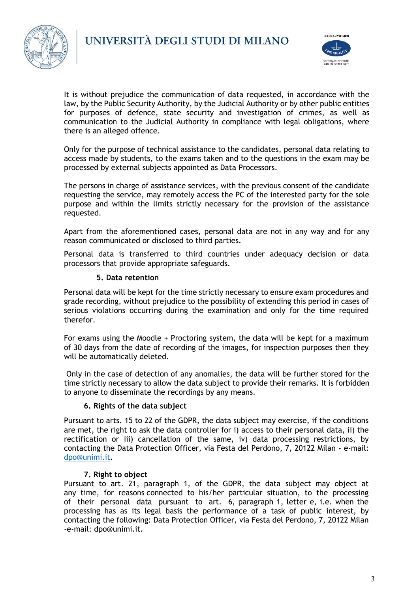



It is without prejudice the communication of data requested, in accordance with the law, by the Public Security Authority, by the Judicial Authority or by other public entities for purposes of defence, state security and investigation of crimes, as well as communication to the Judicial Authority in compliance with legal obligations, where there is an alleged offence.

Only for the purpose of technical assistance to the candidates, personal data relating to access made by students, to the exams taken and to the questions in the exam may be processed by external subjects appointed as Data Processors.

The persons in charge of assistance services, with the previous consent of the candidate requesting the service, may remotely access the PC of the interested party for the sole purpose and within the limits strictly necessary for the provision of the assistance requested.

Apart from the aforementioned cases, personal data are not in any way and for any reason communicated or disclosed to third parties.

Personal data is transferred to third countries under adequacy decision or data processors that provide appropriate safeguards.

#### **5. Data retention**

Personal data will be kept for the time strictly necessary to ensure exam procedures and grade recording, without prejudice to the possibility of extending this period in cases of serious violations occurring during the examination and only for the time required therefor.

For exams using the Moodle + Proctoring system, the data will be kept for a maximum of 30 days from the date of recording of the images, for inspection purposes then they will be automatically deleted.

Only in the case of detection of any anomalies, the data will be further stored for the time strictly necessary to allow the data subject to provide their remarks. It is forbidden to anyone to disseminate the recordings by any means.

#### **6. Rights of the data subject**

Pursuant to arts. 15 to 22 of the GDPR, the data subject may exercise, if the conditions are met, the right to ask the data controller for i) access to their personal data, ii) the rectification or iii) cancellation of the same, iv) data processing restrictions, by contacting the Data Protection Officer, via Festa del Perdono, 7, 20122 Milan - e-mail: [dpo@unimi.it.](mailto:dpo@unimi.it)

#### **7. Right to object**

Pursuant to art. 21, paragraph 1, of the GDPR, the data subject may object at any time, for reasons connected to his/her particular situation, to the processing of their personal data pursuant to art. 6, paragraph 1, letter e, i.e. when the processing has as its legal basis the performance of a task of public interest, by contacting the following: Data Protection Officer, via Festa del Perdono, 7, 20122 Milan -e-mail: dpo@unimi.it.